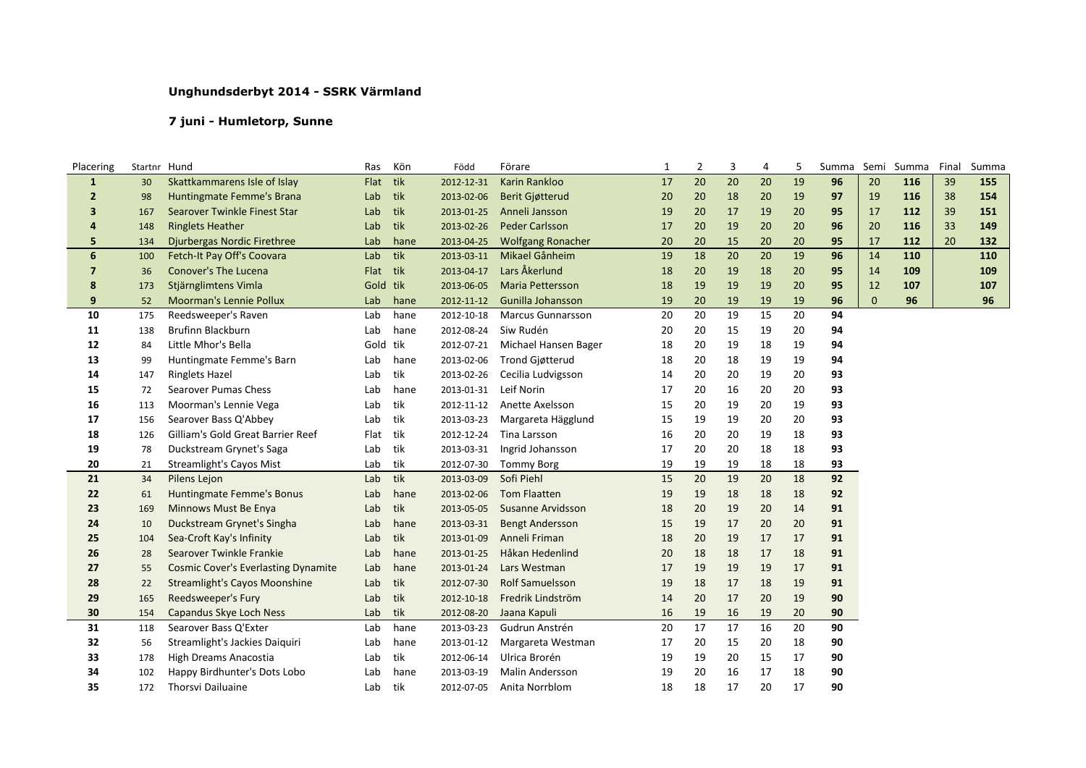## **Unghundsderbyt 2014 - SSRK Värmland**

## **7 juni - Humletorp, Sunne**

| Placering      | Startnr Hund |                                            | Ras      | Kön  | Född       | Förare                   | 1  | $\overline{2}$ | 3  | 4  | 5  | Summa | Semi         | Summa | Final | Summa |
|----------------|--------------|--------------------------------------------|----------|------|------------|--------------------------|----|----------------|----|----|----|-------|--------------|-------|-------|-------|
| $\mathbf{1}$   | 30           | Skattkammarens Isle of Islay               | Flat     | tik  | 2012-12-31 | Karin Rankloo            | 17 | 20             | 20 | 20 | 19 | 96    | 20           | 116   | 39    | 155   |
| $\overline{2}$ | 98           | Huntingmate Femme's Brana                  | Lab      | tik  | 2013-02-06 | <b>Berit Giøtterud</b>   | 20 | 20             | 18 | 20 | 19 | 97    | 19           | 116   | 38    | 154   |
| 3              | 167          | Searover Twinkle Finest Star               | Lab      | tik  | 2013-01-25 | Anneli Jansson           | 19 | 20             | 17 | 19 | 20 | 95    | 17           | 112   | 39    | 151   |
| 4              | 148          | <b>Ringlets Heather</b>                    | Lab      | tik  | 2013-02-26 | <b>Peder Carlsson</b>    | 17 | 20             | 19 | 20 | 20 | 96    | 20           | 116   | 33    | 149   |
| 5              | 134          | Djurbergas Nordic Firethree                | Lab      | hane | 2013-04-25 | <b>Wolfgang Ronacher</b> | 20 | 20             | 15 | 20 | 20 | 95    | 17           | 112   | 20    | 132   |
| 6              | 100          | Fetch-It Pay Off's Coovara                 | Lab      | tik  | 2013-03-11 | Mikael Gånheim           | 19 | 18             | 20 | 20 | 19 | 96    | 14           | 110   |       | 110   |
| $\overline{7}$ | 36           | <b>Conover's The Lucena</b>                | Flat     | tik  | 2013-04-17 | Lars Åkerlund            | 18 | 20             | 19 | 18 | 20 | 95    | 14           | 109   |       | 109   |
| 8              | 173          | Stjärnglimtens Vimla                       | Gold     | tik  | 2013-06-05 | <b>Maria Pettersson</b>  | 18 | 19             | 19 | 19 | 20 | 95    | 12           | 107   |       | 107   |
| 9              | 52           | <b>Moorman's Lennie Pollux</b>             | Lab      | hane | 2012-11-12 | Gunilla Johansson        | 19 | 20             | 19 | 19 | 19 | 96    | $\mathbf{0}$ | 96    |       | 96    |
| 10             | 175          | Reedsweeper's Raven                        | Lab      | hane | 2012-10-18 | <b>Marcus Gunnarsson</b> | 20 | 20             | 19 | 15 | 20 | 94    |              |       |       |       |
| 11             | 138          | <b>Brufinn Blackburn</b>                   | Lab      | hane | 2012-08-24 | Siw Rudén                | 20 | 20             | 15 | 19 | 20 | 94    |              |       |       |       |
| 12             | 84           | Little Mhor's Bella                        | Gold tik |      | 2012-07-21 | Michael Hansen Bager     | 18 | 20             | 19 | 18 | 19 | 94    |              |       |       |       |
| 13             | 99           | Huntingmate Femme's Barn                   | Lab      | hane | 2013-02-06 | <b>Trond Gjøtterud</b>   | 18 | 20             | 18 | 19 | 19 | 94    |              |       |       |       |
| 14             | 147          | <b>Ringlets Hazel</b>                      | Lab      | tik  | 2013-02-26 | Cecilia Ludvigsson       | 14 | 20             | 20 | 19 | 20 | 93    |              |       |       |       |
| 15             | 72           | <b>Searover Pumas Chess</b>                | Lab      | hane | 2013-01-31 | Leif Norin               | 17 | 20             | 16 | 20 | 20 | 93    |              |       |       |       |
| 16             | 113          | Moorman's Lennie Vega                      | Lab      | tik  | 2012-11-12 | Anette Axelsson          | 15 | 20             | 19 | 20 | 19 | 93    |              |       |       |       |
| 17             | 156          | Searover Bass Q'Abbey                      | Lab      | tik  | 2013-03-23 | Margareta Hägglund       | 15 | 19             | 19 | 20 | 20 | 93    |              |       |       |       |
| 18             | 126          | Gilliam's Gold Great Barrier Reef          | Flat     | tik  | 2012-12-24 | Tina Larsson             | 16 | 20             | 20 | 19 | 18 | 93    |              |       |       |       |
| 19             | 78           | Duckstream Grynet's Saga                   | Lab      | tik  | 2013-03-31 | Ingrid Johansson         | 17 | 20             | 20 | 18 | 18 | 93    |              |       |       |       |
| 20             | 21           | <b>Streamlight's Cayos Mist</b>            | Lab      | tik  | 2012-07-30 | <b>Tommy Borg</b>        | 19 | 19             | 19 | 18 | 18 | 93    |              |       |       |       |
| 21             | 34           | Pilens Lejon                               | Lab      | tik  | 2013-03-09 | Sofi Piehl               | 15 | 20             | 19 | 20 | 18 | 92    |              |       |       |       |
| 22             | 61           | Huntingmate Femme's Bonus                  | Lab      | hane | 2013-02-06 | <b>Tom Flaatten</b>      | 19 | 19             | 18 | 18 | 18 | 92    |              |       |       |       |
| 23             | 169          | Minnows Must Be Enya                       | Lab      | tik  | 2013-05-05 | Susanne Arvidsson        | 18 | 20             | 19 | 20 | 14 | 91    |              |       |       |       |
| 24             | 10           | Duckstream Grynet's Singha                 | Lab      | hane | 2013-03-31 | <b>Bengt Andersson</b>   | 15 | 19             | 17 | 20 | 20 | 91    |              |       |       |       |
| 25             | 104          | Sea-Croft Kay's Infinity                   | Lab      | tik  | 2013-01-09 | Anneli Friman            | 18 | 20             | 19 | 17 | 17 | 91    |              |       |       |       |
| 26             | 28           | Searover Twinkle Frankie                   | Lab      | hane | 2013-01-25 | Håkan Hedenlind          | 20 | 18             | 18 | 17 | 18 | 91    |              |       |       |       |
| 27             | 55           | <b>Cosmic Cover's Everlasting Dynamite</b> | Lab      | hane | 2013-01-24 | Lars Westman             | 17 | 19             | 19 | 19 | 17 | 91    |              |       |       |       |
| 28             | 22           | <b>Streamlight's Cayos Moonshine</b>       | Lab      | tik  | 2012-07-30 | <b>Rolf Samuelsson</b>   | 19 | 18             | 17 | 18 | 19 | 91    |              |       |       |       |
| 29             | 165          | Reedsweeper's Fury                         | Lab      | tik  | 2012-10-18 | Fredrik Lindström        | 14 | 20             | 17 | 20 | 19 | 90    |              |       |       |       |
| 30             | 154          | Capandus Skye Loch Ness                    | Lab      | tik  | 2012-08-20 | Jaana Kapuli             | 16 | 19             | 16 | 19 | 20 | 90    |              |       |       |       |
| 31             | 118          | Searover Bass Q'Exter                      | Lab      | hane | 2013-03-23 | Gudrun Anstrén           | 20 | 17             | 17 | 16 | 20 | 90    |              |       |       |       |
| 32             | 56           | Streamlight's Jackies Daiquiri             | Lab      | hane | 2013-01-12 | Margareta Westman        | 17 | 20             | 15 | 20 | 18 | 90    |              |       |       |       |
| 33             | 178          | <b>High Dreams Anacostia</b>               | Lab      | tik  | 2012-06-14 | Ulrica Brorén            | 19 | 19             | 20 | 15 | 17 | 90    |              |       |       |       |
| 34             | 102          | Happy Birdhunter's Dots Lobo               | Lab      | hane | 2013-03-19 | <b>Malin Andersson</b>   | 19 | 20             | 16 | 17 | 18 | 90    |              |       |       |       |
| 35             | 172          | Thorsvi Dailuaine                          | Lab      | tik  | 2012-07-05 | Anita Norrblom           | 18 | 18             | 17 | 20 | 17 | 90    |              |       |       |       |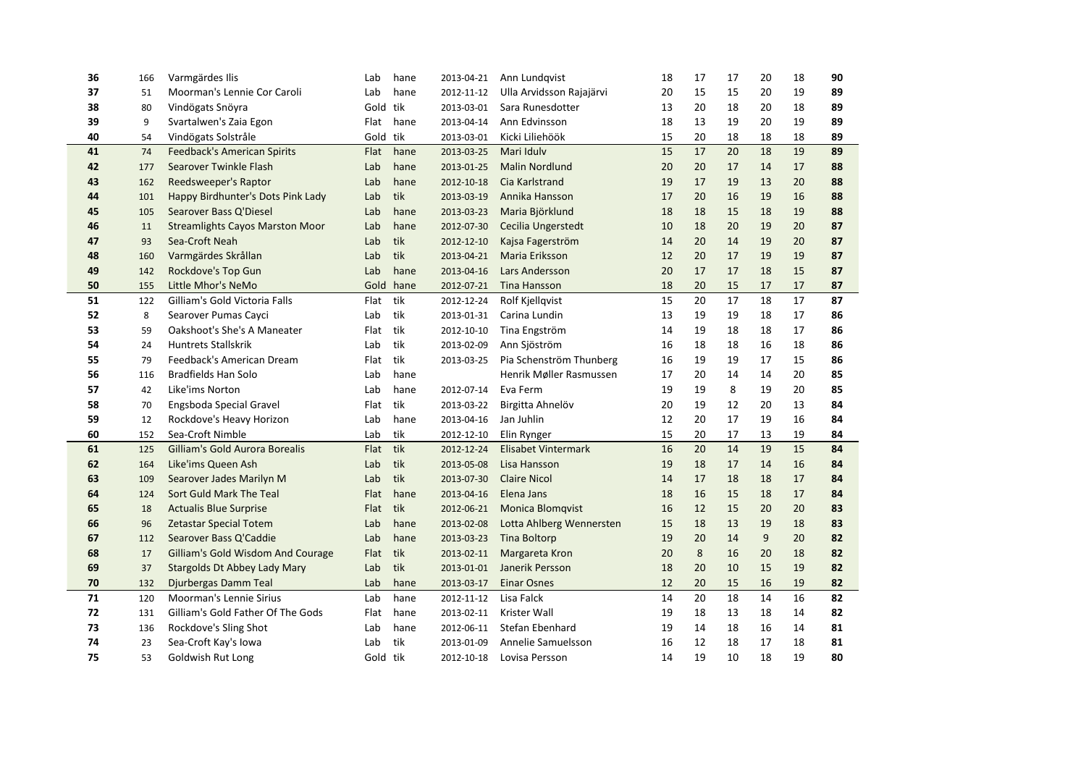| 36 | 166 | Varmgärdes Ilis                        | Lab      | hane | 2013-04-21 | Ann Lundqvist              | 18 | 17 | 17 | 20 | 18 | 90 |  |
|----|-----|----------------------------------------|----------|------|------------|----------------------------|----|----|----|----|----|----|--|
| 37 | 51  | Moorman's Lennie Cor Caroli            | Lab      | hane | 2012-11-12 | Ulla Arvidsson Rajajärvi   | 20 | 15 | 15 | 20 | 19 | 89 |  |
| 38 | 80  | Vindögats Snöyra                       | Gold tik |      | 2013-03-01 | Sara Runesdotter           | 13 | 20 | 18 | 20 | 18 | 89 |  |
| 39 | 9   | Svartalwen's Zaia Egon                 | Flat     | hane | 2013-04-14 | Ann Edvinsson              | 18 | 13 | 19 | 20 | 19 | 89 |  |
| 40 | 54  | Vindögats Solstråle                    | Gold tik |      | 2013-03-01 | Kicki Liliehöök            | 15 | 20 | 18 | 18 | 18 | 89 |  |
| 41 | 74  | <b>Feedback's American Spirits</b>     | Flat     | hane | 2013-03-25 | Mari Iduly                 | 15 | 17 | 20 | 18 | 19 | 89 |  |
| 42 | 177 | Searover Twinkle Flash                 | Lab      | hane | 2013-01-25 | <b>Malin Nordlund</b>      | 20 | 20 | 17 | 14 | 17 | 88 |  |
| 43 | 162 | Reedsweeper's Raptor                   | Lab      | hane | 2012-10-18 | Cia Karlstrand             | 19 | 17 | 19 | 13 | 20 | 88 |  |
| 44 | 101 | Happy Birdhunter's Dots Pink Lady      | Lab      | tik  | 2013-03-19 | Annika Hansson             | 17 | 20 | 16 | 19 | 16 | 88 |  |
| 45 | 105 | Searover Bass Q'Diesel                 | Lab      | hane | 2013-03-23 | Maria Björklund            | 18 | 18 | 15 | 18 | 19 | 88 |  |
| 46 | 11  | <b>Streamlights Cayos Marston Moor</b> | Lab      | hane | 2012-07-30 | Cecilia Ungerstedt         | 10 | 18 | 20 | 19 | 20 | 87 |  |
| 47 | 93  | Sea-Croft Neah                         | Lab      | tik  | 2012-12-10 | Kajsa Fagerström           | 14 | 20 | 14 | 19 | 20 | 87 |  |
| 48 | 160 | Varmgärdes Skrållan                    | Lab      | tik  | 2013-04-21 | Maria Eriksson             | 12 | 20 | 17 | 19 | 19 | 87 |  |
| 49 | 142 | Rockdove's Top Gun                     | Lab      | hane | 2013-04-16 | Lars Andersson             | 20 | 17 | 17 | 18 | 15 | 87 |  |
| 50 | 155 | Little Mhor's NeMo                     | Gold     | hane | 2012-07-21 | <b>Tina Hansson</b>        | 18 | 20 | 15 | 17 | 17 | 87 |  |
| 51 | 122 | Gilliam's Gold Victoria Falls          | Flat     | tik  | 2012-12-24 | <b>Rolf Kjellgvist</b>     | 15 | 20 | 17 | 18 | 17 | 87 |  |
| 52 | 8   | Searover Pumas Cayci                   | Lab      | tik  | 2013-01-31 | Carina Lundin              | 13 | 19 | 19 | 18 | 17 | 86 |  |
| 53 | 59  | Oakshoot's She's A Maneater            | Flat     | tik  | 2012-10-10 | Tina Engström              | 14 | 19 | 18 | 18 | 17 | 86 |  |
| 54 | 24  | <b>Huntrets Stallskrik</b>             | Lab      | tik  | 2013-02-09 | Ann Sjöström               | 16 | 18 | 18 | 16 | 18 | 86 |  |
| 55 | 79  | Feedback's American Dream              | Flat     | tik  | 2013-03-25 | Pia Schenström Thunberg    | 16 | 19 | 19 | 17 | 15 | 86 |  |
| 56 | 116 | <b>Bradfields Han Solo</b>             | Lab      | hane |            | Henrik Møller Rasmussen    | 17 | 20 | 14 | 14 | 20 | 85 |  |
| 57 | 42  | Like'ims Norton                        | Lab      | hane | 2012-07-14 | Eva Ferm                   | 19 | 19 | 8  | 19 | 20 | 85 |  |
| 58 | 70  | Engsboda Special Gravel                | Flat     | tik  | 2013-03-22 | Birgitta Ahnelöv           | 20 | 19 | 12 | 20 | 13 | 84 |  |
| 59 | 12  | Rockdove's Heavy Horizon               | Lab      | hane | 2013-04-16 | Jan Juhlin                 | 12 | 20 | 17 | 19 | 16 | 84 |  |
| 60 | 152 | Sea-Croft Nimble                       | Lab      | tik  | 2012-12-10 | Elin Rynger                | 15 | 20 | 17 | 13 | 19 | 84 |  |
| 61 | 125 | Gilliam's Gold Aurora Borealis         | Flat     | tik  | 2012-12-24 | <b>Elisabet Vintermark</b> | 16 | 20 | 14 | 19 | 15 | 84 |  |
| 62 | 164 | Like'ims Queen Ash                     | Lab      | tik  | 2013-05-08 | Lisa Hansson               | 19 | 18 | 17 | 14 | 16 | 84 |  |
| 63 | 109 | Searover Jades Marilyn M               | Lab      | tik  | 2013-07-30 | <b>Claire Nicol</b>        | 14 | 17 | 18 | 18 | 17 | 84 |  |
| 64 | 124 | Sort Guld Mark The Teal                | Flat     | hane | 2013-04-16 | Elena Jans                 | 18 | 16 | 15 | 18 | 17 | 84 |  |
| 65 | 18  | <b>Actualis Blue Surprise</b>          | Flat     | tik  | 2012-06-21 | <b>Monica Blomqvist</b>    | 16 | 12 | 15 | 20 | 20 | 83 |  |
| 66 | 96  | <b>Zetastar Special Totem</b>          | Lab      | hane | 2013-02-08 | Lotta Ahlberg Wennersten   | 15 | 18 | 13 | 19 | 18 | 83 |  |
| 67 | 112 | Searover Bass Q'Caddie                 | Lab      | hane | 2013-03-23 | <b>Tina Boltorp</b>        | 19 | 20 | 14 | 9  | 20 | 82 |  |
| 68 | 17  | Gilliam's Gold Wisdom And Courage      | Flat     | tik  | 2013-02-11 | Margareta Kron             | 20 | 8  | 16 | 20 | 18 | 82 |  |
| 69 | 37  | <b>Stargolds Dt Abbey Lady Mary</b>    | Lab      | tik  | 2013-01-01 | Janerik Persson            | 18 | 20 | 10 | 15 | 19 | 82 |  |
| 70 | 132 | Djurbergas Damm Teal                   | Lab      | hane | 2013-03-17 | <b>Einar Osnes</b>         | 12 | 20 | 15 | 16 | 19 | 82 |  |
| 71 | 120 | <b>Moorman's Lennie Sirius</b>         | Lab      | hane | 2012-11-12 | Lisa Falck                 | 14 | 20 | 18 | 14 | 16 | 82 |  |
| 72 | 131 | Gilliam's Gold Father Of The Gods      | Flat     | hane | 2013-02-11 | Krister Wall               | 19 | 18 | 13 | 18 | 14 | 82 |  |
| 73 | 136 | Rockdove's Sling Shot                  | Lab      | hane | 2012-06-11 | Stefan Ebenhard            | 19 | 14 | 18 | 16 | 14 | 81 |  |
| 74 | 23  | Sea-Croft Kay's Iowa                   | Lab      | tik  | 2013-01-09 | Annelie Samuelsson         | 16 | 12 | 18 | 17 | 18 | 81 |  |
| 75 | 53  | Goldwish Rut Long                      | Gold tik |      | 2012-10-18 | Lovisa Persson             | 14 | 19 | 10 | 18 | 19 | 80 |  |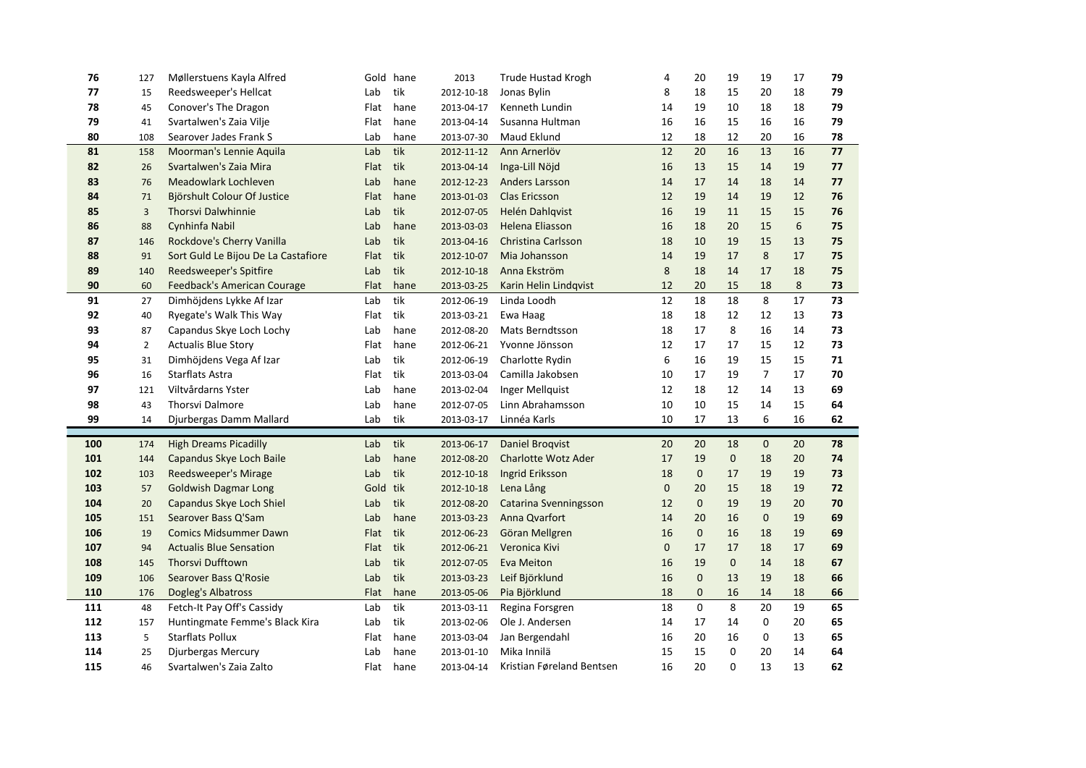| 76         | 127            | Møllerstuens Kayla Alfred                                    |             | Gold hane   | 2013                     | <b>Trude Hustad Krogh</b>        | 4                 | 20                 | 19                 | 19                 | 17       | 79       |
|------------|----------------|--------------------------------------------------------------|-------------|-------------|--------------------------|----------------------------------|-------------------|--------------------|--------------------|--------------------|----------|----------|
| 77         | 15             | Reedsweeper's Hellcat                                        | Lab         | tik         | 2012-10-18               | Jonas Bylin                      | 8                 | 18                 | 15                 | 20                 | 18       | 79       |
| 78         | 45             | Conover's The Dragon                                         | Flat        | hane        | 2013-04-17               | Kenneth Lundin                   | 14                | 19                 | 10                 | 18                 | 18       | 79       |
| 79         | 41             | Svartalwen's Zaia Vilje                                      | Flat        | hane        | 2013-04-14               | Susanna Hultman                  | 16                | 16                 | 15                 | 16                 | 16       | 79       |
| 80         | 108            | Searover Jades Frank S                                       | Lab         | hane        | 2013-07-30               | Maud Eklund                      | 12                | 18                 | 12                 | 20                 | 16       | 78       |
| 81         | 158            | Moorman's Lennie Aquila                                      | Lab         | tik         | 2012-11-12               | Ann Arnerlöv                     | 12                | 20                 | 16                 | 13                 | 16       | 77       |
| 82         | 26             | Svartalwen's Zaia Mira                                       | Flat        | tik         | 2013-04-14               | Inga-Lill Nöjd                   | 16                | 13                 | 15                 | 14                 | 19       | 77       |
| 83         | 76             | Meadowlark Lochleven                                         | Lab         | hane        | 2012-12-23               | <b>Anders Larsson</b>            | 14                | 17                 | 14                 | 18                 | 14       | 77       |
| 84         | 71             | Björshult Colour Of Justice                                  | Flat        | hane        | 2013-01-03               | <b>Clas Ericsson</b>             | 12                | 19                 | 14                 | 19                 | 12       | 76       |
| 85         | $\overline{3}$ | <b>Thorsvi Dalwhinnie</b>                                    | Lab         | tik         | 2012-07-05               | Helén Dahlqvist                  | 16                | 19                 | 11                 | 15                 | 15       | 76       |
| 86         | 88             | Cynhinfa Nabil                                               | Lab         | hane        | 2013-03-03               | Helena Eliasson                  | 16                | 18                 | 20                 | 15                 | 6        | 75       |
| 87         | 146            | Rockdove's Cherry Vanilla                                    | Lab         | tik         | 2013-04-16               | <b>Christina Carlsson</b>        | 18                | 10                 | 19                 | 15                 | 13       | 75       |
| 88         | 91             | Sort Guld Le Bijou De La Castafiore                          | Flat        | tik         | 2012-10-07               | Mia Johansson                    | 14                | 19                 | 17                 | 8                  | 17       | 75       |
| 89         | 140            | Reedsweeper's Spitfire                                       | Lab         | tik         | 2012-10-18               | Anna Ekström                     | 8                 | 18                 | 14                 | 17                 | 18       | 75       |
| 90         | 60             | Feedback's American Courage                                  | Flat        | hane        | 2013-03-25               | Karin Helin Lindqvist            | 12                | 20                 | 15                 | 18                 | 8        | 73       |
| 91         | 27             | Dimhöjdens Lykke Af Izar                                     | Lab         | tik         | 2012-06-19               | Linda Loodh                      | 12                | 18                 | 18                 | 8                  | 17       | 73       |
| 92         | 40             | Ryegate's Walk This Way                                      | Flat        | tik         | 2013-03-21               | Ewa Haag                         | 18                | 18                 | 12                 | 12                 | 13       | 73       |
| 93         | 87             | Capandus Skye Loch Lochy                                     | Lab         | hane        | 2012-08-20               | Mats Berndtsson                  | 18                | 17                 | 8                  | 16                 | 14       | 73       |
| 94         | $\overline{2}$ | <b>Actualis Blue Story</b>                                   | Flat        | hane        | 2012-06-21               | Yvonne Jönsson                   | 12                | 17                 | 17                 | 15                 | 12       | 73       |
| 95         | 31             | Dimhöjdens Vega Af Izar                                      | Lab         | tik         | 2012-06-19               | Charlotte Rydin                  | 6                 | 16                 | 19                 | 15                 | 15       | 71       |
|            |                |                                                              | Flat        | tik         | 2013-03-04               | Camilla Jakobsen                 | 10                | 17                 | 19                 | $\overline{7}$     | 17       | 70       |
| 96         | 16             | Starflats Astra                                              |             |             |                          |                                  |                   |                    |                    |                    |          |          |
| 97         | 121            | Viltvårdarns Yster                                           | Lab         | hane        | 2013-02-04               | Inger Mellquist                  | 12                | 18                 | 12                 | 14                 | 13       | 69       |
| 98         | 43             | Thorsvi Dalmore                                              | Lab         | hane        | 2012-07-05               | Linn Abrahamsson                 | 10                | 10                 | 15                 | 14                 | 15       | 64       |
| 99         | 14             | Djurbergas Damm Mallard                                      | Lab         | tik         | 2013-03-17               | Linnéa Karls                     | 10                | 17                 | 13                 | 6                  | 16       | 62       |
|            |                |                                                              |             |             |                          |                                  |                   |                    |                    |                    |          |          |
| 100        | 174            | <b>High Dreams Picadilly</b>                                 | Lab         | tik         | 2013-06-17               | Daniel Brogvist                  | 20                | 20                 | 18                 | $\mathbf 0$        | 20       | 78       |
| 101        | 144            | Capandus Skye Loch Baile                                     | Lab         | hane        | 2012-08-20               | <b>Charlotte Wotz Ader</b>       | 17                | 19                 | $\mathbf{0}$       | 18                 | 20       | 74       |
| 102        | 103            | <b>Reedsweeper's Mirage</b>                                  | Lab         | tik         | 2012-10-18               | Ingrid Eriksson                  | 18                | $\mathbf{0}$       | 17                 | 19                 | 19       | 73       |
| 103        | 57             | <b>Goldwish Dagmar Long</b>                                  | Gold tik    |             | 2012-10-18               | Lena Lång                        | $\mathbf 0$       | 20                 | 15                 | 18                 | 19       | 72       |
| 104        | 20<br>151      | Capandus Skye Loch Shiel                                     | Lab         | tik         | 2012-08-20               | <b>Catarina Svenningsson</b>     | 12<br>14          | $\mathbf{0}$<br>20 | 19<br>16           | 19<br>$\mathbf{0}$ | 20       | 70       |
| 105        |                | Searover Bass Q'Sam<br><b>Comics Midsummer Dawn</b>          | Lab         | hane        | 2013-03-23               | Anna Qvarfort                    |                   | $\mathbf{0}$       |                    |                    | 19       | 69       |
| 106        | 19<br>94       |                                                              | Flat        | tik         | 2012-06-23               | Göran Mellgren                   | 16                | 17                 | 16                 | 18                 | 19       | 69       |
| 107        | 145            | <b>Actualis Blue Sensation</b><br><b>Thorsvi Dufftown</b>    | Flat        | tik         | 2012-06-21               | Veronica Kivi<br>Eva Meiton      | $\mathbf 0$<br>16 | 19                 | 17<br>$\mathbf{0}$ | 18<br>14           | 17       | 69<br>67 |
| 108<br>109 | 106            | Searover Bass Q'Rosie                                        | Lab         | tik         | 2012-07-05<br>2013-03-23 |                                  | 16                | $\mathbf{0}$       | 13                 | 19                 | 18       | 66       |
| 110        | 176            |                                                              | Lab<br>Flat | tik<br>hane | 2013-05-06               | Leif Björklund                   | 18                | $\mathbf 0$        | 16                 | 14                 | 18<br>18 | 66       |
| 111        | 48             | Dogleg's Albatross                                           | Lab         | tik         | 2013-03-11               | Pia Björklund<br>Regina Forsgren | 18                | $\Omega$           | 8                  | 20                 | 19       | 65       |
| 112        | 157            | Fetch-It Pay Off's Cassidy<br>Huntingmate Femme's Black Kira | Lab         | tik         | 2013-02-06               | Ole J. Andersen                  | 14                | 17                 | 14                 | 0                  | 20       | 65       |
| 113        | 5              | <b>Starflats Pollux</b>                                      | Flat        | hane        | 2013-03-04               | Jan Bergendahl                   | 16                | 20                 | 16                 | 0                  | 13       | 65       |
| 114        | 25             | Djurbergas Mercury                                           | Lab         | hane        | 2013-01-10               | Mika Innilä                      | 15                | 15                 | 0                  | 20                 | 14       | 64       |